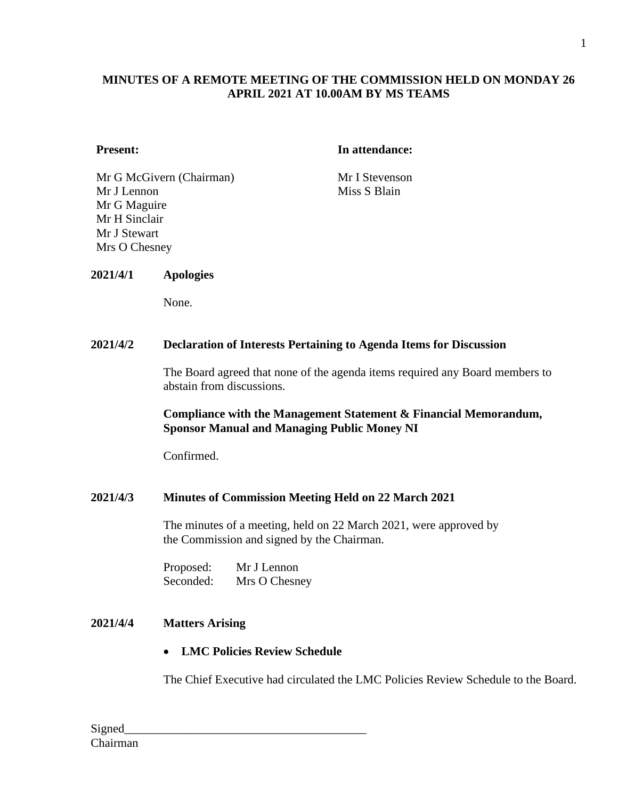## **MINUTES OF A REMOTE MEETING OF THE COMMISSION HELD ON MONDAY 26 APRIL 2021 AT 10.00AM BY MS TEAMS**

#### **Present: In attendance:**

Mr G McGivern (Chairman) Mr I Stevenson Mr J Lennon Mr G Maguire Mr H Sinclair Mr J Stewart Mrs O Chesney

Miss S Blain

## **2021/4/1 Apologies**

None.

#### **2021/4/2 Declaration of Interests Pertaining to Agenda Items for Discussion**

The Board agreed that none of the agenda items required any Board members to abstain from discussions.

#### **Compliance with the Management Statement & Financial Memorandum, Sponsor Manual and Managing Public Money NI**

Confirmed.

#### **2021/4/3 Minutes of Commission Meeting Held on 22 March 2021**

The minutes of a meeting, held on 22 March 2021, were approved by the Commission and signed by the Chairman.

Proposed: Mr J Lennon Seconded: Mrs O Chesney

## **2021/4/4 Matters Arising**

## • **LMC Policies Review Schedule**

The Chief Executive had circulated the LMC Policies Review Schedule to the Board.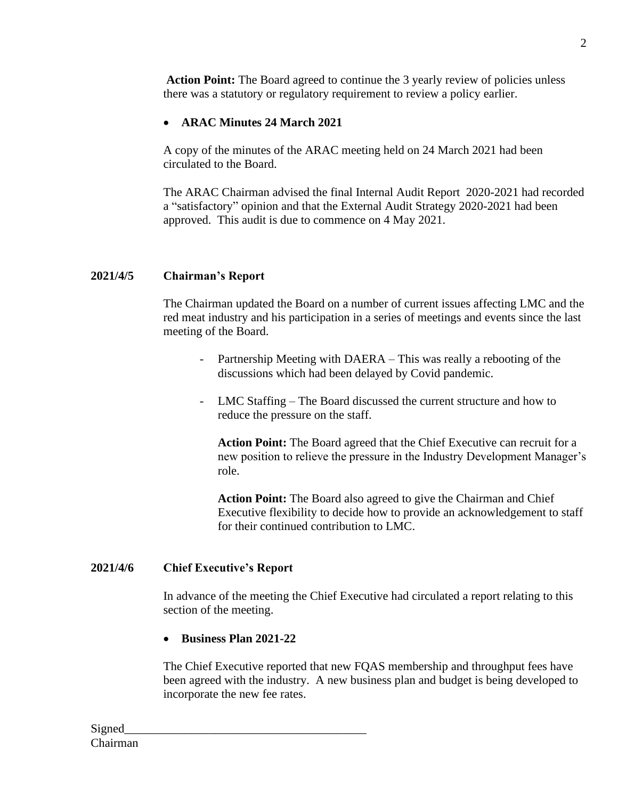**Action Point:** The Board agreed to continue the 3 yearly review of policies unless there was a statutory or regulatory requirement to review a policy earlier.

# • **ARAC Minutes 24 March 2021**

A copy of the minutes of the ARAC meeting held on 24 March 2021 had been circulated to the Board.

The ARAC Chairman advised the final Internal Audit Report 2020-2021 had recorded a "satisfactory" opinion and that the External Audit Strategy 2020-2021 had been approved. This audit is due to commence on 4 May 2021.

## **2021/4/5 Chairman's Report**

The Chairman updated the Board on a number of current issues affecting LMC and the red meat industry and his participation in a series of meetings and events since the last meeting of the Board.

- Partnership Meeting with DAERA This was really a rebooting of the discussions which had been delayed by Covid pandemic.
- LMC Staffing The Board discussed the current structure and how to reduce the pressure on the staff.

**Action Point:** The Board agreed that the Chief Executive can recruit for a new position to relieve the pressure in the Industry Development Manager's role.

**Action Point:** The Board also agreed to give the Chairman and Chief Executive flexibility to decide how to provide an acknowledgement to staff for their continued contribution to LMC.

#### **2021/4/6 Chief Executive's Report**

In advance of the meeting the Chief Executive had circulated a report relating to this section of the meeting.

• **Business Plan 2021-22**

The Chief Executive reported that new FQAS membership and throughput fees have been agreed with the industry. A new business plan and budget is being developed to incorporate the new fee rates.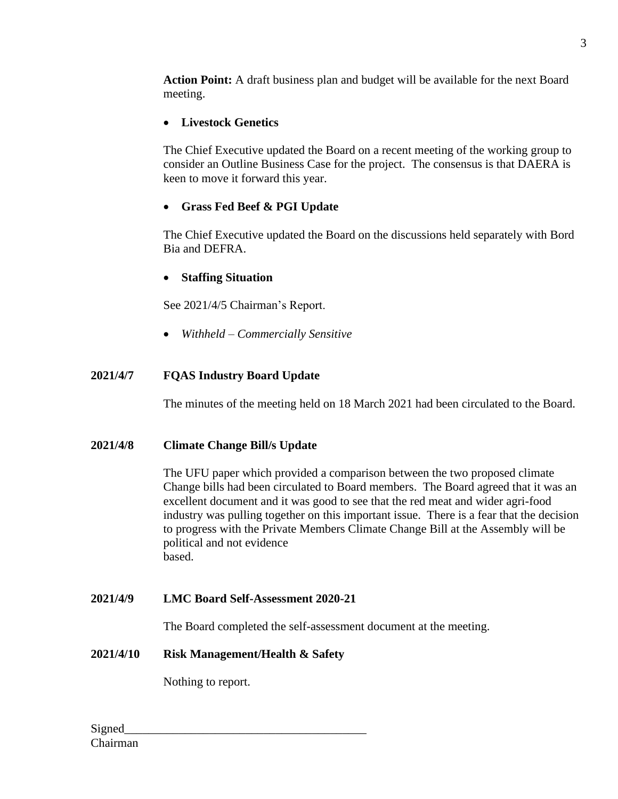**Action Point:** A draft business plan and budget will be available for the next Board meeting.

# • **Livestock Genetics**

The Chief Executive updated the Board on a recent meeting of the working group to consider an Outline Business Case for the project. The consensus is that DAERA is keen to move it forward this year.

# • **Grass Fed Beef & PGI Update**

The Chief Executive updated the Board on the discussions held separately with Bord Bia and DEFRA.

# • **Staffing Situation**

See 2021/4/5 Chairman's Report.

• *Withheld – Commercially Sensitive*

# **2021/4/7 FQAS Industry Board Update**

The minutes of the meeting held on 18 March 2021 had been circulated to the Board.

# **2021/4/8 Climate Change Bill/s Update**

The UFU paper which provided a comparison between the two proposed climate Change bills had been circulated to Board members. The Board agreed that it was an excellent document and it was good to see that the red meat and wider agri-food industry was pulling together on this important issue. There is a fear that the decision to progress with the Private Members Climate Change Bill at the Assembly will be political and not evidence based.

# **2021/4/9 LMC Board Self-Assessment 2020-21**

The Board completed the self-assessment document at the meeting.

## **2021/4/10 Risk Management/Health & Safety**

Nothing to report.